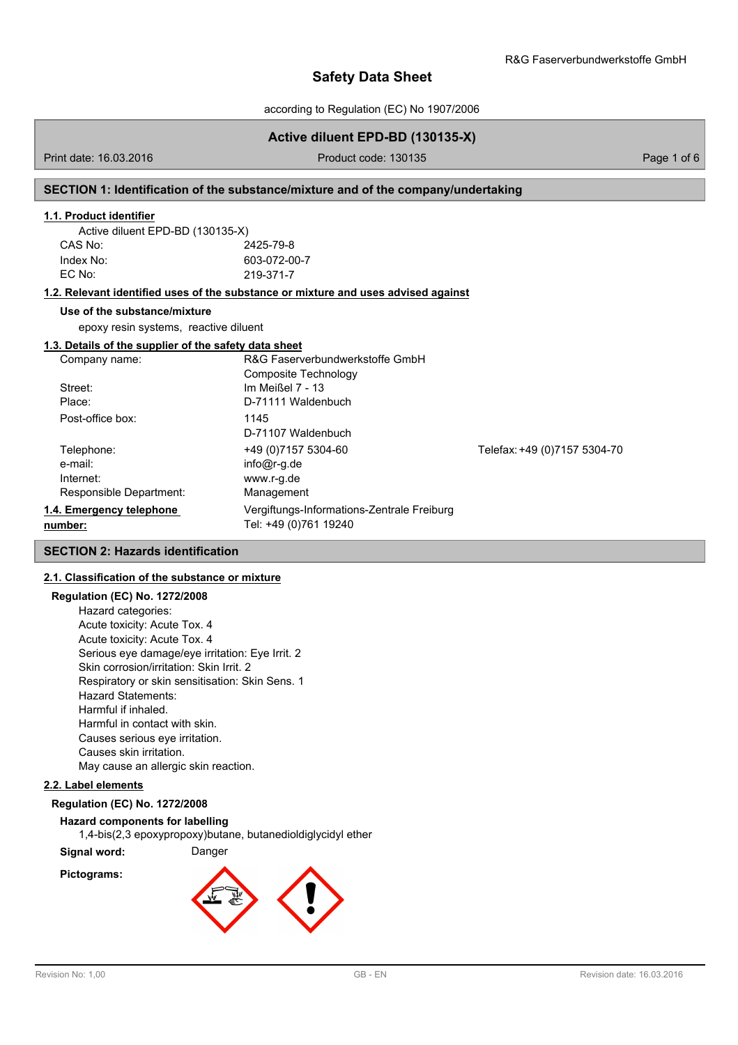according to Regulation (EC) No 1907/2006

## **Active diluent EPD-BD (130135-X)**

Print date: 16.03.2016 **Product code: 130135** Product code: 130135

#### **SECTION 1: Identification of the substance/mixture and of the company/undertaking**

#### **1.1. Product identifier**

| Active diluent EPD-BD (130135-X) |              |
|----------------------------------|--------------|
| CAS No:                          | 2425-79-8    |
| Index No:                        | 603-072-00-7 |
| EC No:                           | 219-371-7    |

#### **1.2. Relevant identified uses of the substance or mixture and uses advised against**

#### **Use of the substance/mixture**

epoxy resin systems, reactive diluent

## **1.3. Details of the supplier of the safety data sheet**

| Company name:            | R&G Faserverbundwerkstoffe GmbH            |                              |
|--------------------------|--------------------------------------------|------------------------------|
|                          | Composite Technology                       |                              |
| Street:                  | Im Meißel 7 - 13                           |                              |
| Place:                   | D-71111 Waldenbuch                         |                              |
| Post-office box:         | 1145                                       |                              |
|                          | D-71107 Waldenbuch                         |                              |
| Telephone:               | +49 (0) 7157 5304-60                       | Telefax: +49 (0)7157 5304-70 |
| e-mail:                  | $info@r-g.de$                              |                              |
| Internet:                | www.r-g.de                                 |                              |
| Responsible Department:  | Management                                 |                              |
| 1.4. Emergency telephone | Vergiftungs-Informations-Zentrale Freiburg |                              |
| number:                  | Tel: +49 (0)761 19240                      |                              |

#### **SECTION 2: Hazards identification**

## **2.1. Classification of the substance or mixture**

## **Regulation (EC) No. 1272/2008**

Hazard categories: Acute toxicity: Acute Tox. 4 Acute toxicity: Acute Tox. 4 Serious eye damage/eye irritation: Eye Irrit. 2 Skin corrosion/irritation: Skin Irrit. 2 Respiratory or skin sensitisation: Skin Sens. 1 Hazard Statements: Harmful if inhaled. Harmful in contact with skin. Causes serious eye irritation. Causes skin irritation. May cause an allergic skin reaction.

#### **2.2. Label elements**

#### **Regulation (EC) No. 1272/2008**

**Hazard components for labelling** 1,4-bis(2,3 epoxypropoxy)butane, butanedioldiglycidyl ether **Signal word:** Danger



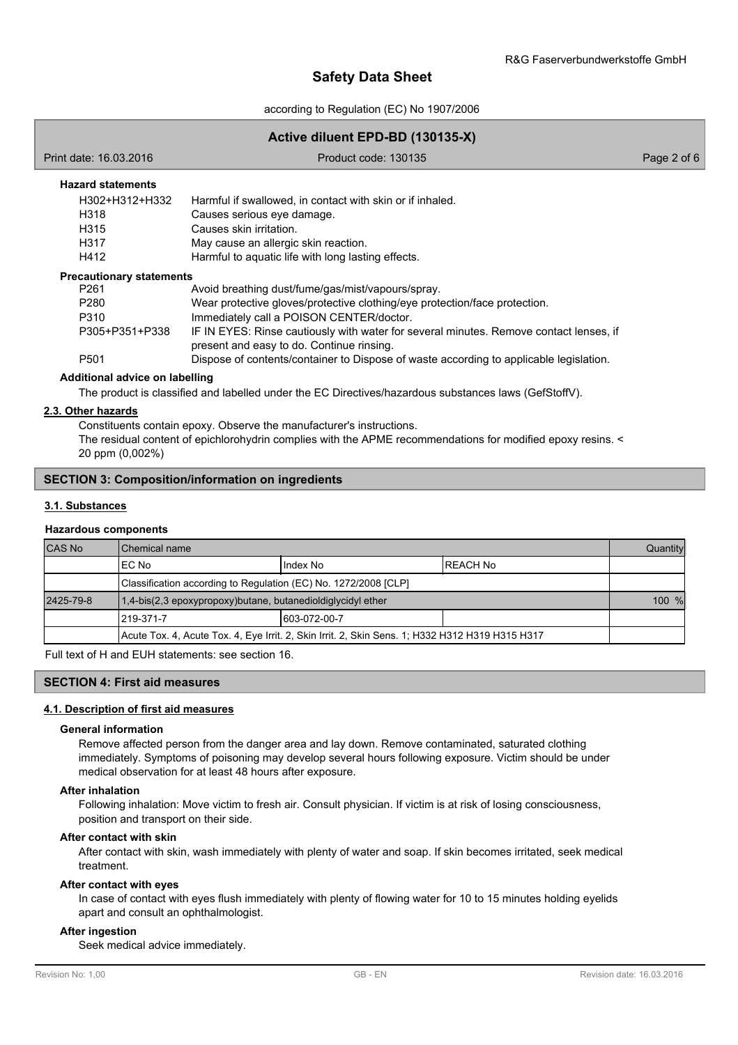according to Regulation (EC) No 1907/2006

## **Active diluent EPD-BD (130135-X)**

#### **Hazard statements**

| Harmful if swallowed, in contact with skin or if inhaled. |
|-----------------------------------------------------------|
| Causes serious eye damage.                                |
| Causes skin irritation.                                   |
| May cause an allergic skin reaction.                      |
| Harmful to aquatic life with long lasting effects.        |
|                                                           |

#### **Precautionary statements**

| Avoid breathing dust/fume/gas/mist/vapours/spray.                                                                                   |
|-------------------------------------------------------------------------------------------------------------------------------------|
| Wear protective gloves/protective clothing/eye protection/face protection.                                                          |
| Immediately call a POISON CENTER/doctor.                                                                                            |
| IF IN EYES: Rinse cautiously with water for several minutes. Remove contact lenses, if<br>present and easy to do. Continue rinsing. |
| Dispose of contents/container to Dispose of waste according to applicable legislation.                                              |
|                                                                                                                                     |

### **Additional advice on labelling**

The product is classified and labelled under the EC Directives/hazardous substances laws (GefStoffV).

#### **2.3. Other hazards**

Constituents contain epoxy. Observe the manufacturer's instructions.

The residual content of epichlorohydrin complies with the APME recommendations for modified epoxy resins. < 20 ppm (0,002%)

## **SECTION 3: Composition/information on ingredients**

### **3.1. Substances**

### **Hazardous components**

| <b>CAS No</b> | Chemical name                                                                                   |               |           | Quantity |
|---------------|-------------------------------------------------------------------------------------------------|---------------|-----------|----------|
|               | EC No                                                                                           | Index No      | IREACH No |          |
|               | Classification according to Regulation (EC) No. 1272/2008 [CLP]                                 |               |           |          |
| 2425-79-8     | 1,4-bis(2,3 epoxypropoxy)butane, butanedioldiglycidyl ether                                     |               | 100 %     |          |
|               | l219-371-7                                                                                      | 1603-072-00-7 |           |          |
|               | Acute Tox. 4, Acute Tox. 4, Eye Irrit. 2, Skin Irrit. 2, Skin Sens. 1; H332 H312 H319 H315 H317 |               |           |          |

Full text of H and EUH statements: see section 16.

#### **SECTION 4: First aid measures**

## **4.1. Description of first aid measures**

#### **General information**

Remove affected person from the danger area and lay down. Remove contaminated, saturated clothing immediately. Symptoms of poisoning may develop several hours following exposure. Victim should be under medical observation for at least 48 hours after exposure.

#### **After inhalation**

Following inhalation: Move victim to fresh air. Consult physician. If victim is at risk of losing consciousness, position and transport on their side.

### **After contact with skin**

After contact with skin, wash immediately with plenty of water and soap. If skin becomes irritated, seek medical treatment.

#### **After contact with eyes**

In case of contact with eyes flush immediately with plenty of flowing water for 10 to 15 minutes holding eyelids apart and consult an ophthalmologist.

## **After ingestion**

Seek medical advice immediately.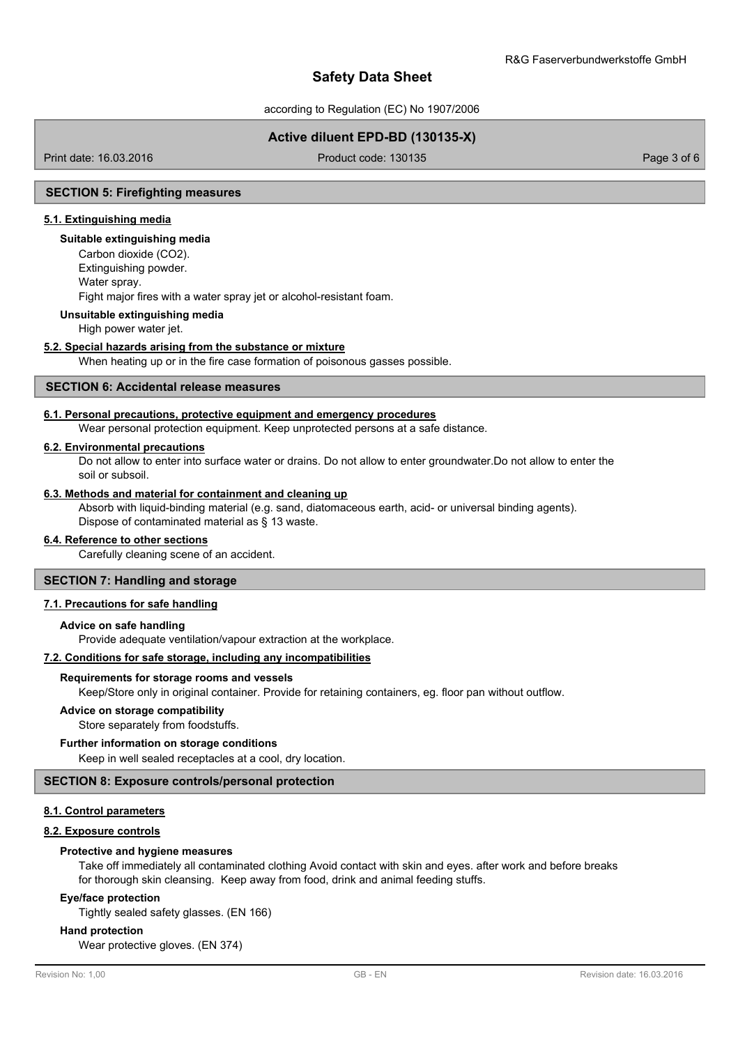according to Regulation (EC) No 1907/2006

# **Active diluent EPD-BD (130135-X)**

Print date: 16.03.2016 Product code: 130135 Page 3 of 6

### **SECTION 5: Firefighting measures**

## **5.1. Extinguishing media**

#### **Suitable extinguishing media**

Carbon dioxide (CO2). Extinguishing powder. Water spray. Fight major fires with a water spray jet or alcohol-resistant foam.

#### **Unsuitable extinguishing media**

High power water jet.

## **5.2. Special hazards arising from the substance or mixture**

When heating up or in the fire case formation of poisonous gasses possible.

## **SECTION 6: Accidental release measures**

### **6.1. Personal precautions, protective equipment and emergency procedures**

Wear personal protection equipment. Keep unprotected persons at a safe distance.

### **6.2. Environmental precautions**

Do not allow to enter into surface water or drains. Do not allow to enter groundwater.Do not allow to enter the soil or subsoil.

## **6.3. Methods and material for containment and cleaning up**

Absorb with liquid-binding material (e.g. sand, diatomaceous earth, acid- or universal binding agents). Dispose of contaminated material as § 13 waste.

## **6.4. Reference to other sections**

Carefully cleaning scene of an accident.

#### **SECTION 7: Handling and storage**

### **7.1. Precautions for safe handling**

#### **Advice on safe handling**

Provide adequate ventilation/vapour extraction at the workplace.

#### **7.2. Conditions for safe storage, including any incompatibilities**

#### **Requirements for storage rooms and vessels**

Keep/Store only in original container. Provide for retaining containers, eg. floor pan without outflow.

#### **Advice on storage compatibility**

Store separately from foodstuffs.

#### **Further information on storage conditions**

Keep in well sealed receptacles at a cool, dry location.

#### **SECTION 8: Exposure controls/personal protection**

## **8.1. Control parameters**

#### **8.2. Exposure controls**

#### **Protective and hygiene measures**

Take off immediately all contaminated clothing Avoid contact with skin and eyes. after work and before breaks for thorough skin cleansing. Keep away from food, drink and animal feeding stuffs.

#### **Eye/face protection**

Tightly sealed safety glasses. (EN 166)

### **Hand protection**

Wear protective gloves. (EN 374)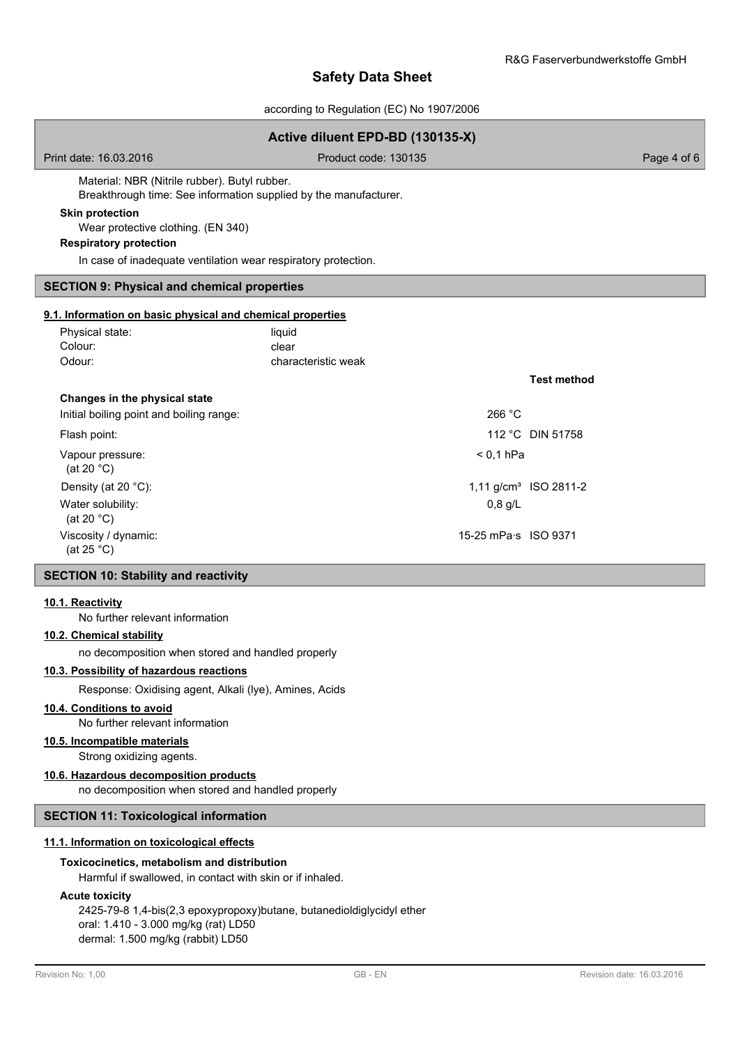according to Regulation (EC) No 1907/2006

| Active diluent EPD-BD (130135-X)                                                                                  |                                        |                                   |  |
|-------------------------------------------------------------------------------------------------------------------|----------------------------------------|-----------------------------------|--|
| Print date: 16.03.2016                                                                                            | Product code: 130135                   | Page 4 of 6                       |  |
| Material: NBR (Nitrile rubber). Butyl rubber.<br>Breakthrough time: See information supplied by the manufacturer. |                                        |                                   |  |
| <b>Skin protection</b><br>Wear protective clothing. (EN 340)<br><b>Respiratory protection</b>                     |                                        |                                   |  |
| In case of inadequate ventilation wear respiratory protection.                                                    |                                        |                                   |  |
| <b>SECTION 9: Physical and chemical properties</b>                                                                |                                        |                                   |  |
| 9.1. Information on basic physical and chemical properties                                                        |                                        |                                   |  |
| Physical state:<br>Colour:<br>Odour:                                                                              | liquid<br>clear<br>characteristic weak |                                   |  |
|                                                                                                                   |                                        | <b>Test method</b>                |  |
| Changes in the physical state<br>Initial boiling point and boiling range:                                         | 266 °C                                 |                                   |  |
| Flash point:                                                                                                      |                                        | 112 °C DIN 51758                  |  |
| Vapour pressure:<br>(at 20 $°C$ )                                                                                 | $< 0.1$ hPa                            |                                   |  |
| Density (at 20 °C):                                                                                               |                                        | 1,11 g/cm <sup>3</sup> ISO 2811-2 |  |
| Water solubility:<br>(at 20 $^{\circ}$ C)                                                                         | $0,8$ g/L                              |                                   |  |
| Viscosity / dynamic:<br>(at $25 °C$ )                                                                             | 15-25 mPa s ISO 9371                   |                                   |  |

## **SECTION 10: Stability and reactivity**

#### **10.1. Reactivity**

No further relevant information

## **10.2. Chemical stability**

no decomposition when stored and handled properly

## **10.3. Possibility of hazardous reactions**

Response: Oxidising agent, Alkali (lye), Amines, Acids

## **10.4. Conditions to avoid**

No further relevant information

# **10.5. Incompatible materials**

Strong oxidizing agents.

## **10.6. Hazardous decomposition products**

no decomposition when stored and handled properly

## **SECTION 11: Toxicological information**

## **11.1. Information on toxicological effects**

## **Toxicocinetics, metabolism and distribution**

Harmful if swallowed, in contact with skin or if inhaled.

#### **Acute toxicity**

2425-79-8 1,4-bis(2,3 epoxypropoxy)butane, butanedioldiglycidyl ether oral: 1.410 - 3.000 mg/kg (rat) LD50 dermal: 1.500 mg/kg (rabbit) LD50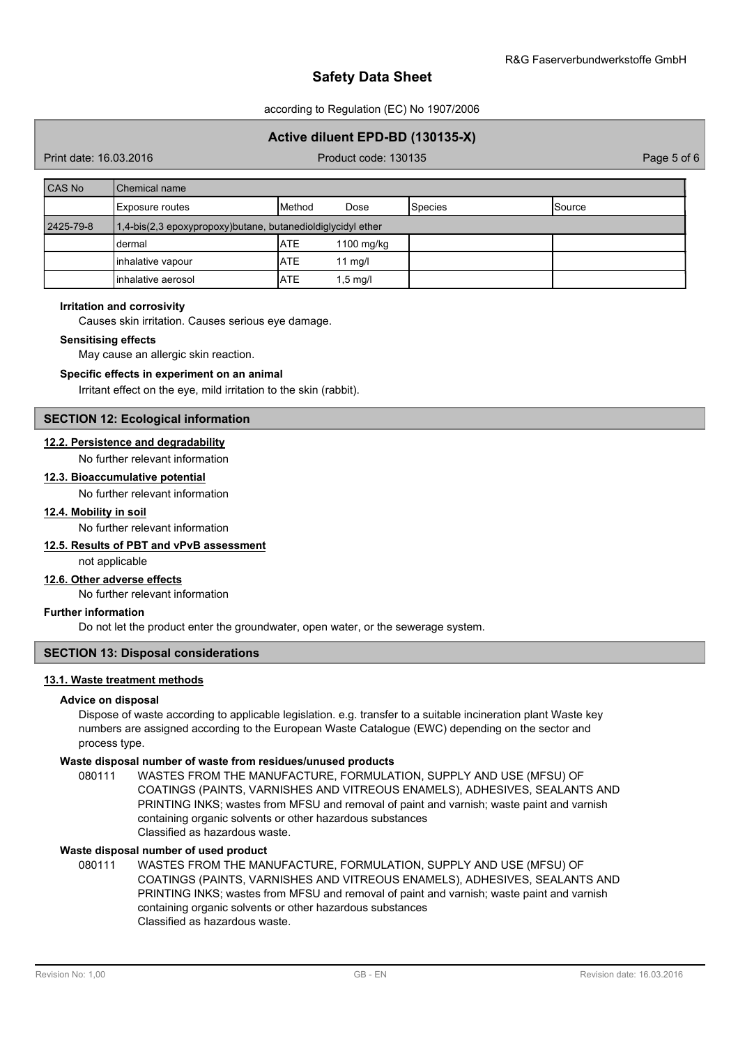according to Regulation (EC) No 1907/2006

## **Active diluent EPD-BD (130135-X)**

Print date: 16.03.2016 Product code: 130135 Page 5 of 6

| <b>CAS No</b> | Chemical name                                               |               |            |                |               |
|---------------|-------------------------------------------------------------|---------------|------------|----------------|---------------|
|               | <b>Exposure routes</b>                                      | <b>Method</b> | Dose       | <b>Species</b> | <b>Source</b> |
| 2425-79-8     | 1,4-bis(2,3 epoxypropoxy)butane, butanedioldiglycidyl ether |               |            |                |               |
|               | dermal                                                      | <b>IATE</b>   | 1100 mg/kg |                |               |
|               | inhalative vapour                                           | <b>ATE</b>    | $11$ mg/l  |                |               |
|               | linhalative aerosol                                         | <b>IATE</b>   | 1,5 mg/l   |                |               |

#### **Irritation and corrosivity**

Causes skin irritation. Causes serious eye damage.

#### **Sensitising effects**

May cause an allergic skin reaction.

#### **Specific effects in experiment on an animal**

Irritant effect on the eye, mild irritation to the skin (rabbit).

#### **SECTION 12: Ecological information**

### **12.2. Persistence and degradability**

No further relevant information

### **12.3. Bioaccumulative potential**

No further relevant information

## **12.4. Mobility in soil**

No further relevant information

### **12.5. Results of PBT and vPvB assessment**

not applicable

## **12.6. Other adverse effects**

No further relevant information

#### **Further information**

Do not let the product enter the groundwater, open water, or the sewerage system.

## **SECTION 13: Disposal considerations**

## **13.1. Waste treatment methods**

#### **Advice on disposal**

Dispose of waste according to applicable legislation. e.g. transfer to a suitable incineration plant Waste key numbers are assigned according to the European Waste Catalogue (EWC) depending on the sector and process type.

#### **Waste disposal number of waste from residues/unused products**

080111 WASTES FROM THE MANUFACTURE, FORMULATION, SUPPLY AND USE (MFSU) OF COATINGS (PAINTS, VARNISHES AND VITREOUS ENAMELS), ADHESIVES, SEALANTS AND PRINTING INKS; wastes from MFSU and removal of paint and varnish; waste paint and varnish containing organic solvents or other hazardous substances Classified as hazardous waste.

## **Waste disposal number of used product**

WASTES FROM THE MANUFACTURE, FORMULATION, SUPPLY AND USE (MFSU) OF COATINGS (PAINTS, VARNISHES AND VITREOUS ENAMELS), ADHESIVES, SEALANTS AND PRINTING INKS; wastes from MFSU and removal of paint and varnish; waste paint and varnish containing organic solvents or other hazardous substances Classified as hazardous waste. 080111